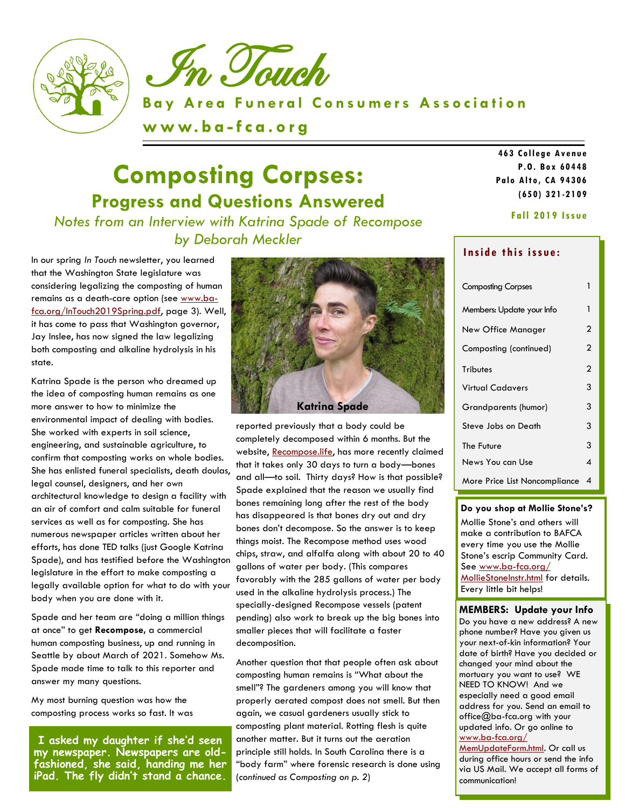



**Bay Area Funeral Consumers Association** 

**w w w. b a - f c a . o r g**

## **Composting Corpses: Progress and Questions Answered**

*Notes from an Interview with Katrina Spade of Recompose by Deborah Meckler*

In our spring *In Touch* newsletter, you learned that the Washington State legislature was considering legalizing the composting of human remains as a death-care option (see [www.ba](http://www.ba-fca.org/InTouch2019Spring.pdf)[fca.org/InTouch2019Spring.pdf,](http://www.ba-fca.org/InTouch2019Spring.pdf) page 3). Well, it has come to pass that Washington governor, Jay Inslee, has now signed the law legalizing both composting and alkaline hydrolysis in his state.

Katrina Spade is the person who dreamed up the idea of composting human remains as one more answer to how to minimize the environmental impact of dealing with bodies. She worked with experts in soil science, engineering, and sustainable agriculture, to confirm that composting works on whole bodies. She has enlisted funeral specialists, death doulas, legal counsel, designers, and her own architectural knowledge to design a facility with an air of comfort and calm suitable for funeral services as well as for composting. She has numerous newspaper articles written about her efforts, has done TED talks (just Google Katrina Spade), and has testified before the Washington legislature in the effort to make composting a legally available option for what to do with your body when you are done with it.

Spade and her team are "doing a million things at once" to get **Recompose,** a commercial human composting business, up and running in Seattle by about March of 2021. Somehow Ms. Spade made time to talk to this reporter and answer my many questions.

My most burning question was how the composting process works so fast. It was

**I asked my daughter if she'd seen my newspaper. Newspapers are oldfashioned, she said, handing me her iPad. The fly didn't stand a chance.**



reported previously that a body could be completely decomposed within 6 months. But the website, [Recompose.life,](http://www.Recompose.life) has more recently claimed that it takes only 30 days to turn a body—bones and all—to soil. Thirty days? How is that possible? Spade explained that the reason we usually find bones remaining long after the rest of the body has disappeared is that bones dry out and dry bones don't decompose. So the answer is to keep things moist. The Recompose method uses wood chips, straw, and alfalfa along with about 20 to 40 gallons of water per body. (This compares favorably with the 285 gallons of water per body used in the alkaline hydrolysis process.) The specially-designed Recompose vessels (patent pending) also work to break up the big bones into smaller pieces that will facilitate a faster decomposition.

Another question that that people often ask about composting human remains is "What about the smell"? The gardeners among you will know that properly aerated compost does not smell. But then again, we casual gardeners usually stick to composting plant material. Rotting flesh is quite another matter. But it turns out the aeration principle still holds. In South Carolina there is a "body farm" where forensic research is done using (*continued as Composting on p. 2*)

**463 Co lle ge A ve nue P.O. B o x 60448 Palo A lto , CA 94306 (650) 3 21 -21 09**

**F all 2019 Is s ue**

#### Inside this issue:

| <b>Composting Corpses</b>     |   |
|-------------------------------|---|
| Members: Update your Info     | 1 |
| New Office Manager            | 2 |
| Composting (continued)        | 2 |
| <b>Tributes</b>               | 2 |
| <b>Virtual Cadavers</b>       | 3 |
| Grandparents (humor)          | 3 |
| Steve Jobs on Death           | 3 |
| The Future                    | 3 |
| News You can Use              | 4 |
| More Price List Noncompliance | 4 |

**Do you shop at Mollie Stone's?**  Mollie Stone's and others will make a contribution to BAFCA every time you use the Mollie Stone's escrip Community Card. See [www.ba-fca.org/](http://www.ba-fca.org/MollieStoneInstr.html) [MollieStoneInstr.html](http://www.ba-fca.org/MollieStoneInstr.html) for details. Every little bit helps!

**MEMBERS: Update your Info** Do you have a new address? A new phone number? Have you given us your next-of-kin information? Your date of birth? Have you decided or changed your mind about the mortuary you want to use? WE NEED TO KNOW! And we especially need a good email address for you. Send an email to office@ba-fca.org with your updated info. Or go online to [www.ba-fca.org/](http://www.ba-fca.org/MemUpdateForm.html) [MemUpdateForm.html.](http://www.ba-fca.org/MemUpdateForm.html) Or call us during office hours or send the info

via US Mail. We accept all forms of communication!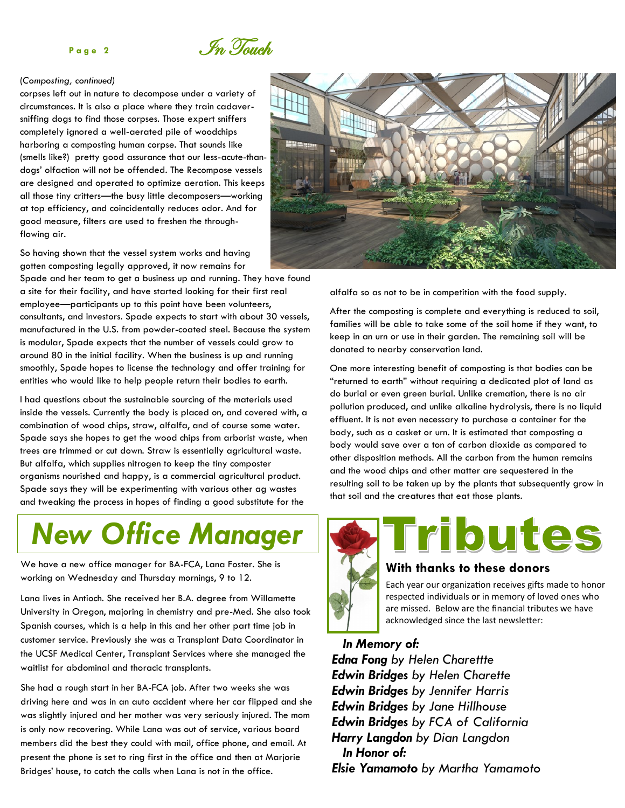Page 2 **In Touch** 

#### (*Composting, continued)*

corpses left out in nature to decompose under a variety of circumstances. It is also a place where they train cadaversniffing dogs to find those corpses. Those expert sniffers completely ignored a well-aerated pile of woodchips harboring a composting human corpse. That sounds like (smells like?) pretty good assurance that our less-acute-thandogs' olfaction will not be offended. The Recompose vessels are designed and operated to optimize aeration. This keeps all those tiny critters—the busy little decomposers—working at top efficiency, and coincidentally reduces odor. And for good measure, filters are used to freshen the throughflowing air.

So having shown that the vessel system works and having gotten composting legally approved, it now remains for

Spade and her team to get a business up and running. They have found a site for their facility, and have started looking for their first real employee—participants up to this point have been volunteers, consultants, and investors. Spade expects to start with about 30 vessels, manufactured in the U.S. from powder-coated steel. Because the system is modular, Spade expects that the number of vessels could grow to around 80 in the initial facility. When the business is up and running smoothly, Spade hopes to license the technology and offer training for entities who would like to help people return their bodies to earth.

I had questions about the sustainable sourcing of the materials used inside the vessels. Currently the body is placed on, and covered with, a combination of wood chips, straw, alfalfa, and of course some water. Spade says she hopes to get the wood chips from arborist waste, when trees are trimmed or cut down. Straw is essentially agricultural waste. But alfalfa, which supplies nitrogen to keep the tiny composter organisms nourished and happy, is a commercial agricultural product. Spade says they will be experimenting with various other ag wastes and tweaking the process in hopes of finding a good substitute for the

## *New Office Manager*

We have a new office manager for BA-FCA, Lana Foster. She is working on Wednesday and Thursday mornings, 9 to 12.

Lana lives in Antioch. She received her B.A. degree from Willamette University in Oregon, majoring in chemistry and pre-Med. She also took Spanish courses, which is a help in this and her other part time job in customer service. Previously she was a Transplant Data Coordinator in the UCSF Medical Center, Transplant Services where she managed the waitlist for abdominal and thoracic transplants.

She had a rough start in her BA-FCA job. After two weeks she was driving here and was in an auto accident where her car flipped and she was slightly injured and her mother was very seriously injured. The mom is only now recovering. While Lana was out of service, various board members did the best they could with mail, office phone, and email. At present the phone is set to ring first in the office and then at Marjorie Bridges' house, to catch the calls when Lana is not in the office.



alfalfa so as not to be in competition with the food supply.

After the composting is complete and everything is reduced to soil, families will be able to take some of the soil home if they want, to keep in an urn or use in their garden. The remaining soil will be donated to nearby conservation land.

One more interesting benefit of composting is that bodies can be "returned to earth" without requiring a dedicated plot of land as do burial or even green burial. Unlike cremation, there is no air pollution produced, and unlike alkaline hydrolysis, there is no liquid effluent. It is not even necessary to purchase a container for the body, such as a casket or urn. It is estimated that composting a body would save over a ton of carbon dioxide as compared to other disposition methods. All the carbon from the human remains and the wood chips and other matter are sequestered in the resulting soil to be taken up by the plants that subsequently grow in that soil and the creatures that eat those plants.



Each year our organization receives gifts made to honor respected individuals or in memory of loved ones who are missed. Below are the financial tributes we have acknowledged since the last newsletter:

 *In Memory of: Edna Fong by Helen Charettte Edwin Bridges by Helen Charette Edwin Bridges by Jennifer Harris Edwin Bridges by Jane Hillhouse Edwin Bridges by FCA of California Harry Langdon by Dian Langdon In Honor of: Elsie Yamamoto by Martha Yamamoto*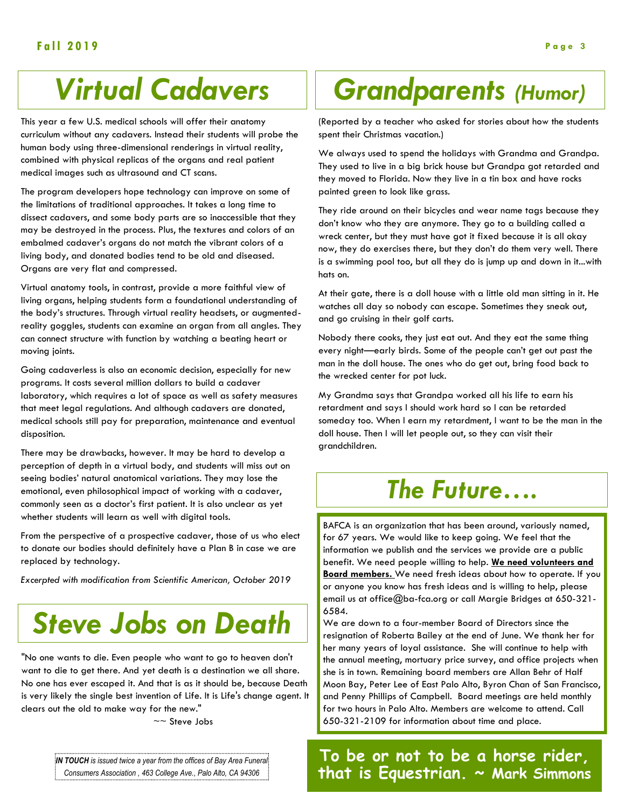## *Virtual Cadavers*

This year a few U.S. medical schools will offer their anatomy curriculum without any cadavers. Instead their students will probe the human body using three-dimensional renderings in virtual reality, combined with physical replicas of the organs and real patient medical images such as ultrasound and CT scans.

The program developers hope technology can improve on some of the limitations of traditional approaches. It takes a long time to dissect cadavers, and some body parts are so inaccessible that they may be destroyed in the process. Plus, the textures and colors of an embalmed cadaver's organs do not match the vibrant colors of a living body, and donated bodies tend to be old and diseased. Organs are very flat and compressed.

Virtual anatomy tools, in contrast, provide a more faithful view of living organs, helping students form a foundational understanding of the body's structures. Through virtual reality headsets, or augmentedreality goggles, students can examine an organ from all angles. They can connect structure with function by watching a beating heart or moving joints.

Going cadaverless is also an economic decision, especially for new programs. It costs several million dollars to build a cadaver laboratory, which requires a lot of space as well as safety measures that meet legal regulations. And although cadavers are donated, medical schools still pay for preparation, maintenance and eventual disposition.

There may be drawbacks, however. It may be hard to develop a perception of depth in a virtual body, and students will miss out on seeing bodies' natural anatomical variations. They may lose the emotional, even philosophical impact of working with a cadaver, commonly seen as a doctor's first patient. It is also unclear as yet whether students will learn as well with digital tools.

From the perspective of a prospective cadaver, those of us who elect to donate our bodies should definitely have a Plan B in case we are replaced by technology.

*Excerpted with modification from Scientific American, October 2019*

# *Steve Jobs on Death*

"No one wants to die. Even people who want to go to heaven don't want to die to get there. And yet death is a destination we all share. No one has ever escaped it. And that is as it should be, because Death is very likely the single best invention of Life. It is Life's change agent. It clears out the old to make way for the new."

 $\sim$  Steve Jobs

**IN TOUCH** is issued twice a year from the offices of Bay Area Funeral *Consumers Association , 463 College Ave., Palo Alto, CA 94306*

## *Grandparents (Humor)*

(Reported by a teacher who asked for stories about how the students spent their Christmas vacation.)

We always used to spend the holidays with Grandma and Grandpa. They used to live in a big brick house but Grandpa got retarded and they moved to Florida. Now they live in a tin box and have rocks painted green to look like grass.

They ride around on their bicycles and wear name tags because they don't know who they are anymore. They go to a building called a wreck center, but they must have got it fixed because it is all okay now, they do exercises there, but they don't do them very well. There is a swimming pool too, but all they do is jump up and down in it...with hats on.

At their gate, there is a doll house with a little old man sitting in it. He watches all day so nobody can escape. Sometimes they sneak out, and go cruising in their golf carts.

Nobody there cooks, they just eat out. And they eat the same thing every night—early birds. Some of the people can't get out past the man in the doll house. The ones who do get out, bring food back to the wrecked center for pot luck.

My Grandma says that Grandpa worked all his life to earn his retardment and says I should work hard so I can be retarded someday too. When I earn my retardment, I want to be the man in the doll house. Then I will let people out, so they can visit their grandchildren.

## *The Future….*

BAFCA is an organization that has been around, variously named, for 67 years. We would like to keep going. We feel that the information we publish and the services we provide are a public benefit. We need people willing to help. **We need volunteers and Board members.** We need fresh ideas about how to operate. If you or anyone you know has fresh ideas and is willing to help, please email us at office@ba-fca.org or call Margie Bridges at 650-321- 6584.

We are down to a four-member Board of Directors since the resignation of Roberta Bailey at the end of June. We thank her for her many years of loyal assistance. She will continue to help with the annual meeting, mortuary price survey, and office projects when she is in town. Remaining board members are Allan Behr of Half Moon Bay, Peter Lee of East Palo Alto, Byron Chan of San Francisco, and Penny Phillips of Campbell. Board meetings are held monthly for two hours in Palo Alto. Members are welcome to attend. Call 650-321-2109 for information about time and place.

### **To be or not to be a horse rider, that is Equestrian. ~ Mark Simmons**